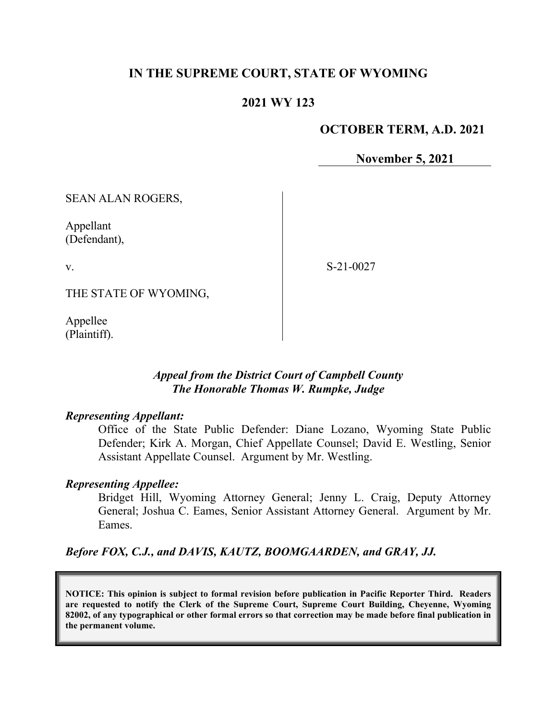### **IN THE SUPREME COURT, STATE OF WYOMING**

### **2021 WY 123**

#### **OCTOBER TERM, A.D. 2021**

**November 5, 2021**

SEAN ALAN ROGERS,

Appellant (Defendant),

v.

S-21-0027

THE STATE OF WYOMING,

Appellee (Plaintiff).

#### *Appeal from the District Court of Campbell County The Honorable Thomas W. Rumpke, Judge*

#### *Representing Appellant:*

Office of the State Public Defender: Diane Lozano, Wyoming State Public Defender; Kirk A. Morgan, Chief Appellate Counsel; David E. Westling, Senior Assistant Appellate Counsel. Argument by Mr. Westling.

#### *Representing Appellee:*

Bridget Hill, Wyoming Attorney General; Jenny L. Craig, Deputy Attorney General; Joshua C. Eames, Senior Assistant Attorney General. Argument by Mr. Eames.

*Before FOX, C.J., and DAVIS, KAUTZ, BOOMGAARDEN, and GRAY, JJ.*

**NOTICE: This opinion is subject to formal revision before publication in Pacific Reporter Third. Readers are requested to notify the Clerk of the Supreme Court, Supreme Court Building, Cheyenne, Wyoming 82002, of any typographical or other formal errors so that correction may be made before final publication in the permanent volume.**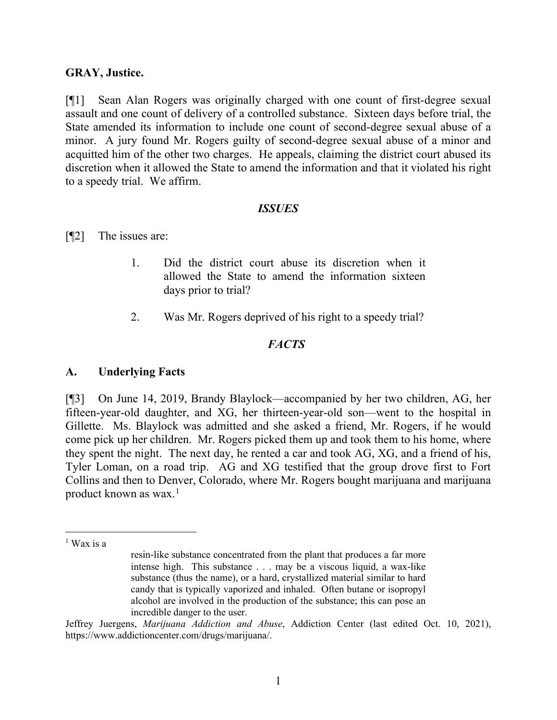#### **GRAY, Justice.**

[¶1] Sean Alan Rogers was originally charged with one count of first-degree sexual assault and one count of delivery of a controlled substance. Sixteen days before trial, the State amended its information to include one count of second-degree sexual abuse of a minor. A jury found Mr. Rogers guilty of second-degree sexual abuse of a minor and acquitted him of the other two charges. He appeals, claiming the district court abused its discretion when it allowed the State to amend the information and that it violated his right to a speedy trial. We affirm.

#### *ISSUES*

[¶2] The issues are:

- 1. Did the district court abuse its discretion when it allowed the State to amend the information sixteen days prior to trial?
- 2. Was Mr. Rogers deprived of his right to a speedy trial?

## *FACTS*

### **A. Underlying Facts**

[¶3] On June 14, 2019, Brandy Blaylock—accompanied by her two children, AG, her fifteen-year-old daughter, and XG, her thirteen-year-old son—went to the hospital in Gillette. Ms. Blaylock was admitted and she asked a friend, Mr. Rogers, if he would come pick up her children. Mr. Rogers picked them up and took them to his home, where they spent the night. The next day, he rented a car and took AG, XG, and a friend of his, Tyler Loman, on a road trip. AG and XG testified that the group drove first to Fort Collins and then to Denver, Colorado, where Mr. Rogers bought marijuana and marijuana product known as wax. [1](#page-1-0)

<span id="page-1-0"></span> $<sup>1</sup>$  Wax is a</sup>

resin-like substance concentrated from the plant that produces a far more intense high. This substance . . . may be a viscous liquid, a wax-like substance (thus the name), or a hard, crystallized material similar to hard candy that is typically vaporized and inhaled. Often butane or isopropyl alcohol are involved in the production of the substance; this can pose an incredible danger to the user.

Jeffrey Juergens, *Marijuana Addiction and Abuse*, Addiction Center (last edited Oct. 10, 2021), https://www.addictioncenter.com/drugs/marijuana/.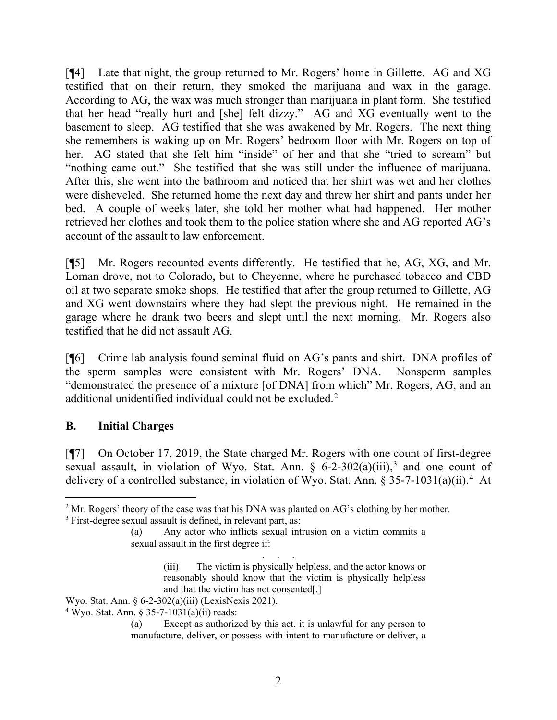[¶4] Late that night, the group returned to Mr. Rogers' home in Gillette. AG and XG testified that on their return, they smoked the marijuana and wax in the garage. According to AG, the wax was much stronger than marijuana in plant form. She testified that her head "really hurt and [she] felt dizzy." AG and XG eventually went to the basement to sleep. AG testified that she was awakened by Mr. Rogers. The next thing she remembers is waking up on Mr. Rogers' bedroom floor with Mr. Rogers on top of her. AG stated that she felt him "inside" of her and that she "tried to scream" but "nothing came out." She testified that she was still under the influence of marijuana. After this, she went into the bathroom and noticed that her shirt was wet and her clothes were disheveled. She returned home the next day and threw her shirt and pants under her bed. A couple of weeks later, she told her mother what had happened. Her mother retrieved her clothes and took them to the police station where she and AG reported AG's account of the assault to law enforcement.

[¶5] Mr. Rogers recounted events differently. He testified that he, AG, XG, and Mr. Loman drove, not to Colorado, but to Cheyenne, where he purchased tobacco and CBD oil at two separate smoke shops. He testified that after the group returned to Gillette, AG and XG went downstairs where they had slept the previous night. He remained in the garage where he drank two beers and slept until the next morning. Mr. Rogers also testified that he did not assault AG.

[¶6] Crime lab analysis found seminal fluid on AG's pants and shirt. DNA profiles of the sperm samples were consistent with Mr. Rogers' DNA. Nonsperm samples "demonstrated the presence of a mixture [of DNA] from which" Mr. Rogers, AG, and an additional unidentified individual could not be excluded.[2](#page-2-0)

### **B. Initial Charges**

[¶7] On October 17, 2019, the State charged Mr. Rogers with one count of first-degree sexual assault, in violation of Wyo. Stat. Ann.  $\S$  6-2-[3](#page-2-1)02(a)(iii),<sup>3</sup> and one count of delivery of a controlled substance, in violation of Wyo. Stat. Ann. § 35-7-1031(a)(ii).<sup>[4](#page-2-2)</sup> At

Wyo. Stat. Ann. § 6-2-302(a)(iii) (LexisNexis 2021).

<span id="page-2-0"></span> $<sup>2</sup>$  Mr. Rogers' theory of the case was that his DNA was planted on AG's clothing by her mother.</sup>

<span id="page-2-1"></span><sup>&</sup>lt;sup>3</sup> First-degree sexual assault is defined, in relevant part, as:

<sup>(</sup>a) Any actor who inflicts sexual intrusion on a victim commits a sexual assault in the first degree if:

<sup>. . .</sup> (iii) The victim is physically helpless, and the actor knows or reasonably should know that the victim is physically helpless and that the victim has not consented[.]

<span id="page-2-2"></span> $4$  Wyo. Stat. Ann. § 35-7-1031(a)(ii) reads:

<sup>(</sup>a) Except as authorized by this act, it is unlawful for any person to manufacture, deliver, or possess with intent to manufacture or deliver, a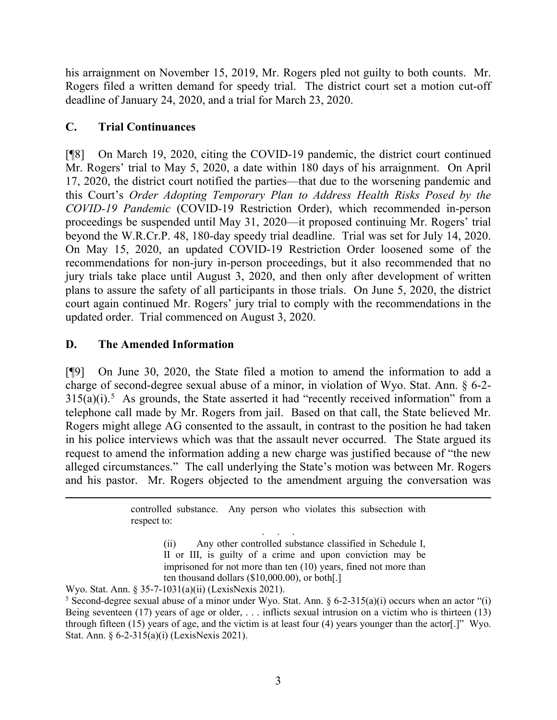his arraignment on November 15, 2019, Mr. Rogers pled not guilty to both counts. Mr. Rogers filed a written demand for speedy trial. The district court set a motion cut-off deadline of January 24, 2020, and a trial for March 23, 2020.

## **C. Trial Continuances**

[¶8] On March 19, 2020, citing the COVID-19 pandemic, the district court continued Mr. Rogers' trial to May 5, 2020, a date within 180 days of his arraignment. On April 17, 2020, the district court notified the parties—that due to the worsening pandemic and this Court's *Order Adopting Temporary Plan to Address Health Risks Posed by the COVID-19 Pandemic* (COVID-19 Restriction Order), which recommended in-person proceedings be suspended until May 31, 2020—it proposed continuing Mr. Rogers' trial beyond the W.R.Cr.P. 48, 180-day speedy trial deadline. Trial was set for July 14, 2020. On May 15, 2020, an updated COVID-19 Restriction Order loosened some of the recommendations for non-jury in-person proceedings, but it also recommended that no jury trials take place until August 3, 2020, and then only after development of written plans to assure the safety of all participants in those trials. On June 5, 2020, the district court again continued Mr. Rogers' jury trial to comply with the recommendations in the updated order. Trial commenced on August 3, 2020.

## **D. The Amended Information**

[¶9] On June 30, 2020, the State filed a motion to amend the information to add a charge of second-degree sexual abuse of a minor, in violation of Wyo. Stat. Ann. § 6-2-  $315(a)(i)$  $315(a)(i)$  $315(a)(i)$ .<sup>5</sup> As grounds, the State asserted it had "recently received information" from a telephone call made by Mr. Rogers from jail. Based on that call, the State believed Mr. Rogers might allege AG consented to the assault, in contrast to the position he had taken in his police interviews which was that the assault never occurred. The State argued its request to amend the information adding a new charge was justified because of "the new alleged circumstances." The call underlying the State's motion was between Mr. Rogers and his pastor. Mr. Rogers objected to the amendment arguing the conversation was

> controlled substance. Any person who violates this subsection with respect to:

> > . . . (ii) Any other controlled substance classified in Schedule I, II or III, is guilty of a crime and upon conviction may be imprisoned for not more than ten (10) years, fined not more than ten thousand dollars (\$10,000.00), or both[.]

Wyo. Stat. Ann. § 35-7-1031(a)(ii) (LexisNexis 2021).

<span id="page-3-0"></span><sup>&</sup>lt;sup>5</sup> Second-degree sexual abuse of a minor under Wyo. Stat. Ann.  $\S 6$ -2-315(a)(i) occurs when an actor "(i) Being seventeen (17) years of age or older, . . . inflicts sexual intrusion on a victim who is thirteen (13) through fifteen (15) years of age, and the victim is at least four (4) years younger than the actor[.]" Wyo. Stat. Ann. § 6-2-315(a)(i) (LexisNexis 2021).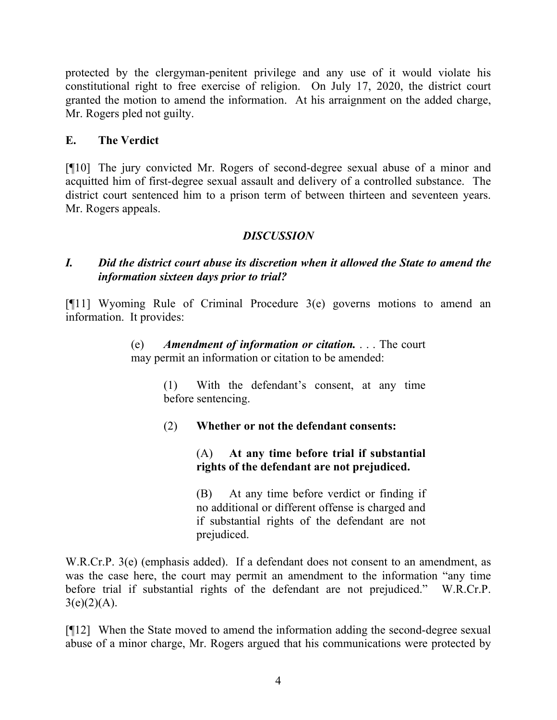protected by the clergyman-penitent privilege and any use of it would violate his constitutional right to free exercise of religion. On July 17, 2020, the district court granted the motion to amend the information. At his arraignment on the added charge, Mr. Rogers pled not guilty.

## **E. The Verdict**

[¶10] The jury convicted Mr. Rogers of second-degree sexual abuse of a minor and acquitted him of first-degree sexual assault and delivery of a controlled substance. The district court sentenced him to a prison term of between thirteen and seventeen years. Mr. Rogers appeals.

## *DISCUSSION*

### *I. Did the district court abuse its discretion when it allowed the State to amend the information sixteen days prior to trial?*

[¶11] Wyoming Rule of Criminal Procedure 3(e) governs motions to amend an information. It provides:

### (e) *Amendment of information or citation.* . . . The court may permit an information or citation to be amended:

(1) With the defendant's consent, at any time before sentencing.

(2) **Whether or not the defendant consents:**

## (A) **At any time before trial if substantial rights of the defendant are not prejudiced.**

(B) At any time before verdict or finding if no additional or different offense is charged and if substantial rights of the defendant are not prejudiced.

W.R.Cr.P. 3(e) (emphasis added). If a defendant does not consent to an amendment, as was the case here, the court may permit an amendment to the information "any time before trial if substantial rights of the defendant are not prejudiced." W.R.Cr.P.  $3(e)(2)(A)$ .

[¶12] When the State moved to amend the information adding the second-degree sexual abuse of a minor charge, Mr. Rogers argued that his communications were protected by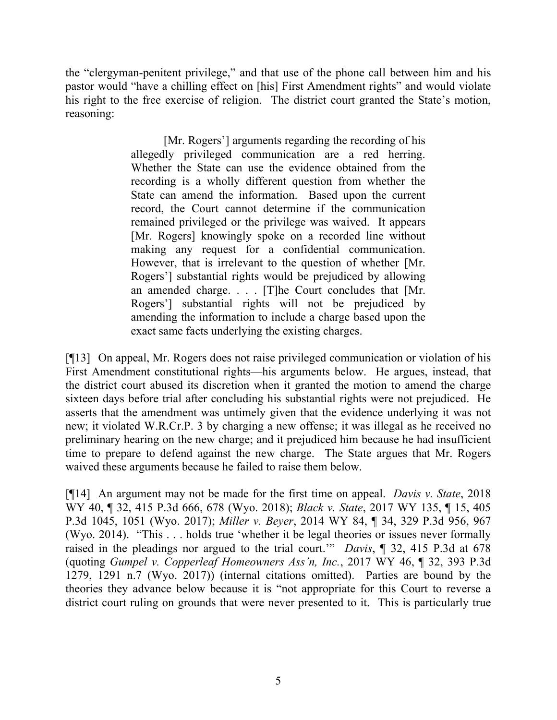the "clergyman-penitent privilege," and that use of the phone call between him and his pastor would "have a chilling effect on [his] First Amendment rights" and would violate his right to the free exercise of religion. The district court granted the State's motion, reasoning:

> [Mr. Rogers'] arguments regarding the recording of his allegedly privileged communication are a red herring. Whether the State can use the evidence obtained from the recording is a wholly different question from whether the State can amend the information. Based upon the current record, the Court cannot determine if the communication remained privileged or the privilege was waived. It appears [Mr. Rogers] knowingly spoke on a recorded line without making any request for a confidential communication. However, that is irrelevant to the question of whether [Mr. Rogers'] substantial rights would be prejudiced by allowing an amended charge. . . . [T]he Court concludes that [Mr. Rogers'] substantial rights will not be prejudiced by amending the information to include a charge based upon the exact same facts underlying the existing charges.

[¶13] On appeal, Mr. Rogers does not raise privileged communication or violation of his First Amendment constitutional rights—his arguments below. He argues, instead, that the district court abused its discretion when it granted the motion to amend the charge sixteen days before trial after concluding his substantial rights were not prejudiced. He asserts that the amendment was untimely given that the evidence underlying it was not new; it violated W.R.Cr.P. 3 by charging a new offense; it was illegal as he received no preliminary hearing on the new charge; and it prejudiced him because he had insufficient time to prepare to defend against the new charge. The State argues that Mr. Rogers waived these arguments because he failed to raise them below.

[¶14] An argument may not be made for the first time on appeal. *Davis v. State*, 2018 WY 40, ¶ 32, 415 P.3d 666, 678 (Wyo. 2018); *Black v. State*, 2017 WY 135, ¶ 15, 405 P.3d 1045, 1051 (Wyo. 2017); *Miller v. Beyer*, 2014 WY 84, ¶ 34, 329 P.3d 956, 967 (Wyo. 2014). "This . . . holds true 'whether it be legal theories or issues never formally raised in the pleadings nor argued to the trial court.'" *Davis*, ¶ 32, 415 P.3d at 678 (quoting *Gumpel v. Copperleaf Homeowners Ass'n, Inc.*, 2017 WY 46, ¶ 32, 393 P.3d 1279, 1291 n.7 (Wyo. 2017)) (internal citations omitted). Parties are bound by the theories they advance below because it is "not appropriate for this Court to reverse a district court ruling on grounds that were never presented to it. This is particularly true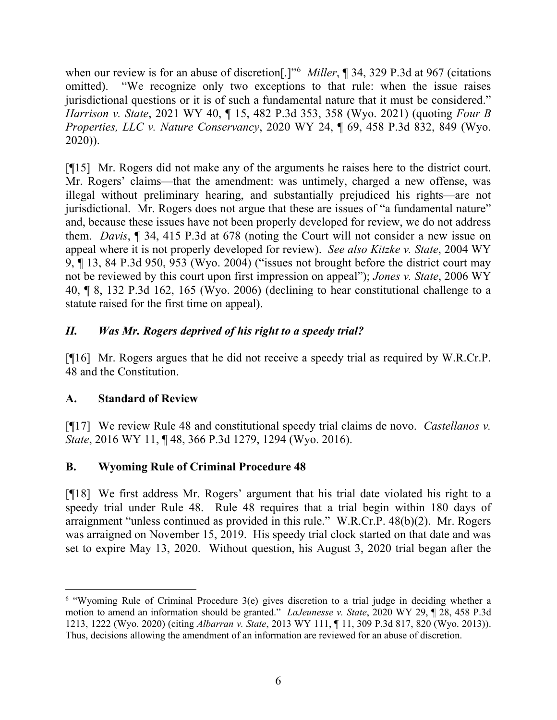when our review is for an abuse of discretion[.]"[6](#page-6-0) *Miller*, ¶ 34, 329 P.3d at 967 (citations omitted). "We recognize only two exceptions to that rule: when the issue raises jurisdictional questions or it is of such a fundamental nature that it must be considered." *Harrison v. State*, 2021 WY 40, ¶ 15, 482 P.3d 353, 358 (Wyo. 2021) (quoting *Four B Properties, LLC v. Nature Conservancy*, 2020 WY 24, ¶ 69, 458 P.3d 832, 849 (Wyo. 2020)).

[¶15] Mr. Rogers did not make any of the arguments he raises here to the district court. Mr. Rogers' claims—that the amendment: was untimely, charged a new offense, was illegal without preliminary hearing, and substantially prejudiced his rights—are not jurisdictional. Mr. Rogers does not argue that these are issues of "a fundamental nature" and, because these issues have not been properly developed for review, we do not address them. *Davis*, ¶ 34, 415 P.3d at 678 (noting the Court will not consider a new issue on appeal where it is not properly developed for review). *See also Kitzke v. State*, 2004 WY 9, ¶ 13, 84 P.3d 950, 953 (Wyo. 2004) ("issues not brought before the district court may not be reviewed by this court upon first impression on appeal"); *Jones v. State*, 2006 WY 40, ¶ 8, 132 P.3d 162, 165 (Wyo. 2006) (declining to hear constitutional challenge to a statute raised for the first time on appeal).

## *II. Was Mr. Rogers deprived of his right to a speedy trial?*

[¶16] Mr. Rogers argues that he did not receive a speedy trial as required by W.R.Cr.P. 48 and the Constitution.

## **A. Standard of Review**

[¶17] We review Rule 48 and constitutional speedy trial claims de novo. *Castellanos v. State*, 2016 WY 11, ¶ 48, 366 P.3d 1279, 1294 (Wyo. 2016).

# **B. Wyoming Rule of Criminal Procedure 48**

[¶18] We first address Mr. Rogers' argument that his trial date violated his right to a speedy trial under Rule 48. Rule 48 requires that a trial begin within 180 days of arraignment "unless continued as provided in this rule." W.R.Cr.P. 48(b)(2). Mr. Rogers was arraigned on November 15, 2019. His speedy trial clock started on that date and was set to expire May 13, 2020. Without question, his August 3, 2020 trial began after the

<span id="page-6-0"></span><sup>6</sup> "Wyoming Rule of Criminal Procedure 3(e) gives discretion to a trial judge in deciding whether a motion to amend an information should be granted." *LaJeunesse v. State*, 2020 WY 29, ¶ 28, 458 P.3d 1213, 1222 (Wyo. 2020) (citing *Albarran v. State*, 2013 WY 111, ¶ 11, 309 P.3d 817, 820 (Wyo. 2013)). Thus, decisions allowing the amendment of an information are reviewed for an abuse of discretion.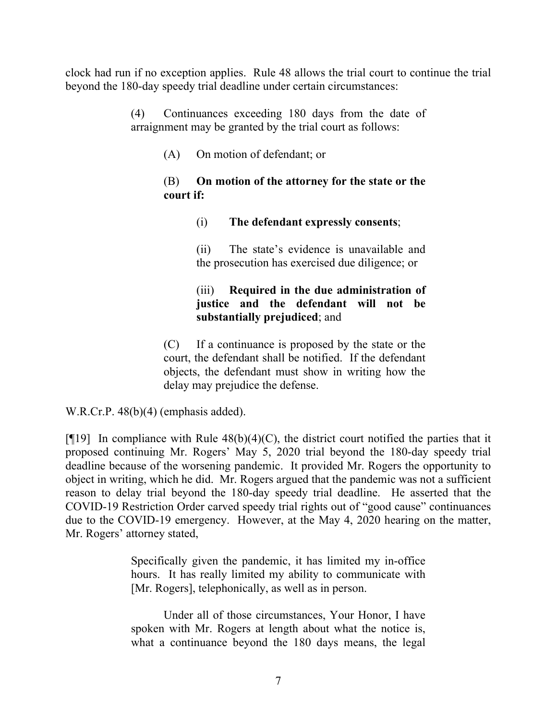clock had run if no exception applies. Rule 48 allows the trial court to continue the trial beyond the 180-day speedy trial deadline under certain circumstances:

> (4) Continuances exceeding 180 days from the date of arraignment may be granted by the trial court as follows:

> > (A) On motion of defendant; or

#### (B) **On motion of the attorney for the state or the court if:**

#### (i) **The defendant expressly consents**;

(ii) The state's evidence is unavailable and the prosecution has exercised due diligence; or

### (iii) **Required in the due administration of justice and the defendant will not be substantially prejudiced**; and

(C) If a continuance is proposed by the state or the court, the defendant shall be notified. If the defendant objects, the defendant must show in writing how the delay may prejudice the defense.

W.R.Cr.P. 48(b)(4) (emphasis added).

[ $[19]$ ] In compliance with Rule 48(b)(4)(C), the district court notified the parties that it proposed continuing Mr. Rogers' May 5, 2020 trial beyond the 180-day speedy trial deadline because of the worsening pandemic. It provided Mr. Rogers the opportunity to object in writing, which he did. Mr. Rogers argued that the pandemic was not a sufficient reason to delay trial beyond the 180-day speedy trial deadline. He asserted that the COVID-19 Restriction Order carved speedy trial rights out of "good cause" continuances due to the COVID-19 emergency. However, at the May 4, 2020 hearing on the matter, Mr. Rogers' attorney stated,

> Specifically given the pandemic, it has limited my in-office hours. It has really limited my ability to communicate with [Mr. Rogers], telephonically, as well as in person.

> Under all of those circumstances, Your Honor, I have spoken with Mr. Rogers at length about what the notice is, what a continuance beyond the 180 days means, the legal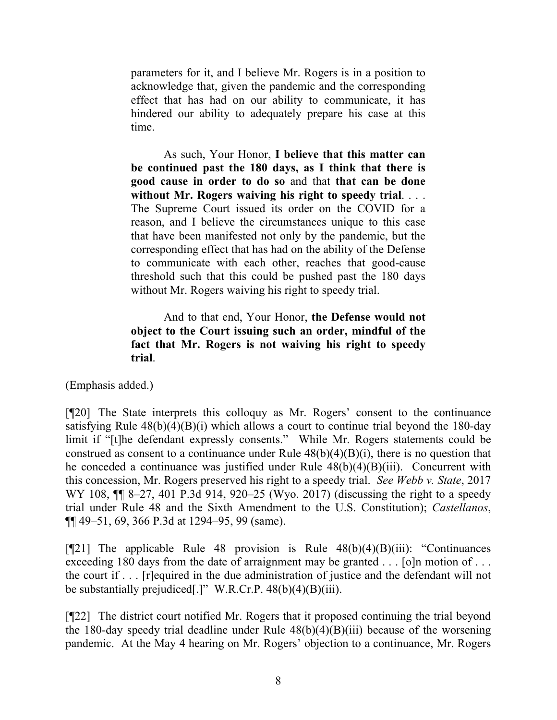parameters for it, and I believe Mr. Rogers is in a position to acknowledge that, given the pandemic and the corresponding effect that has had on our ability to communicate, it has hindered our ability to adequately prepare his case at this time.

As such, Your Honor, **I believe that this matter can be continued past the 180 days, as I think that there is good cause in order to do so** and that **that can be done without Mr. Rogers waiving his right to speedy trial**. . . . The Supreme Court issued its order on the COVID for a reason, and I believe the circumstances unique to this case that have been manifested not only by the pandemic, but the corresponding effect that has had on the ability of the Defense to communicate with each other, reaches that good-cause threshold such that this could be pushed past the 180 days without Mr. Rogers waiving his right to speedy trial.

And to that end, Your Honor, **the Defense would not object to the Court issuing such an order, mindful of the fact that Mr. Rogers is not waiving his right to speedy trial**.

(Emphasis added.)

[¶20] The State interprets this colloquy as Mr. Rogers' consent to the continuance satisfying Rule  $48(b)(4)(B)(i)$  which allows a court to continue trial beyond the 180-day limit if "[t]he defendant expressly consents." While Mr. Rogers statements could be construed as consent to a continuance under Rule  $48(b)(4)(B)(i)$ , there is no question that he conceded a continuance was justified under Rule 48(b)(4)(B)(iii). Concurrent with this concession, Mr. Rogers preserved his right to a speedy trial. *See Webb v. State*, 2017 WY 108, ¶¶ 8–27, 401 P.3d 914, 920–25 (Wyo. 2017) (discussing the right to a speedy trial under Rule 48 and the Sixth Amendment to the U.S. Constitution); *Castellanos*, ¶¶ 49–51, 69, 366 P.3d at 1294–95, 99 (same).

[ $[$ [21] The applicable Rule 48 provision is Rule  $48(b)(4)(B)(iii)$ : "Continuances" exceeding 180 days from the date of arraignment may be granted . . . [o]n motion of . . . the court if . . . [r]equired in the due administration of justice and the defendant will not be substantially prejudiced<sup>[.]</sup>" W.R.Cr.P. 48(b)(4)(B)(iii).

[¶22] The district court notified Mr. Rogers that it proposed continuing the trial beyond the 180-day speedy trial deadline under Rule  $48(b)(4)(B)(iii)$  because of the worsening pandemic. At the May 4 hearing on Mr. Rogers' objection to a continuance, Mr. Rogers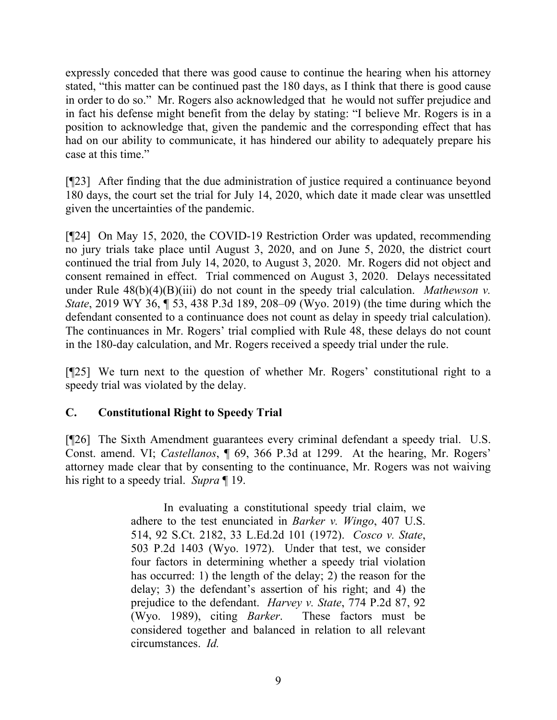expressly conceded that there was good cause to continue the hearing when his attorney stated, "this matter can be continued past the 180 days, as I think that there is good cause in order to do so." Mr. Rogers also acknowledged that he would not suffer prejudice and in fact his defense might benefit from the delay by stating: "I believe Mr. Rogers is in a position to acknowledge that, given the pandemic and the corresponding effect that has had on our ability to communicate, it has hindered our ability to adequately prepare his case at this time."

[¶23] After finding that the due administration of justice required a continuance beyond 180 days, the court set the trial for July 14, 2020, which date it made clear was unsettled given the uncertainties of the pandemic.

[¶24] On May 15, 2020, the COVID-19 Restriction Order was updated, recommending no jury trials take place until August 3, 2020, and on June 5, 2020, the district court continued the trial from July 14, 2020, to August 3, 2020. Mr. Rogers did not object and consent remained in effect. Trial commenced on August 3, 2020. Delays necessitated under Rule  $48(b)(4)(B)(iii)$  do not count in the speedy trial calculation. *Mathewson v. State*, 2019 WY 36, ¶ 53, 438 P.3d 189, 208–09 (Wyo. 2019) (the time during which the defendant consented to a continuance does not count as delay in speedy trial calculation). The continuances in Mr. Rogers' trial complied with Rule 48, these delays do not count in the 180-day calculation, and Mr. Rogers received a speedy trial under the rule.

[¶25] We turn next to the question of whether Mr. Rogers' constitutional right to a speedy trial was violated by the delay.

### **C. Constitutional Right to Speedy Trial**

[¶26] The Sixth Amendment guarantees every criminal defendant a speedy trial. U.S. Const. amend. VI; *Castellanos*, ¶ 69, 366 P.3d at 1299. At the hearing, Mr. Rogers' attorney made clear that by consenting to the continuance, Mr. Rogers was not waiving his right to a speedy trial. *Supra* ¶ 19.

> In evaluating a constitutional speedy trial claim, we adhere to the test enunciated in *Barker v. Wingo*, 407 U.S. 514, 92 S.Ct. 2182, 33 L.Ed.2d 101 (1972). *Cosco v. State*, 503 P.2d 1403 (Wyo. 1972). Under that test, we consider four factors in determining whether a speedy trial violation has occurred: 1) the length of the delay; 2) the reason for the delay; 3) the defendant's assertion of his right; and 4) the prejudice to the defendant. *Harvey v. State*, 774 P.2d 87, 92 (Wyo. 1989), citing *Barker*. These factors must be considered together and balanced in relation to all relevant circumstances. *Id.*